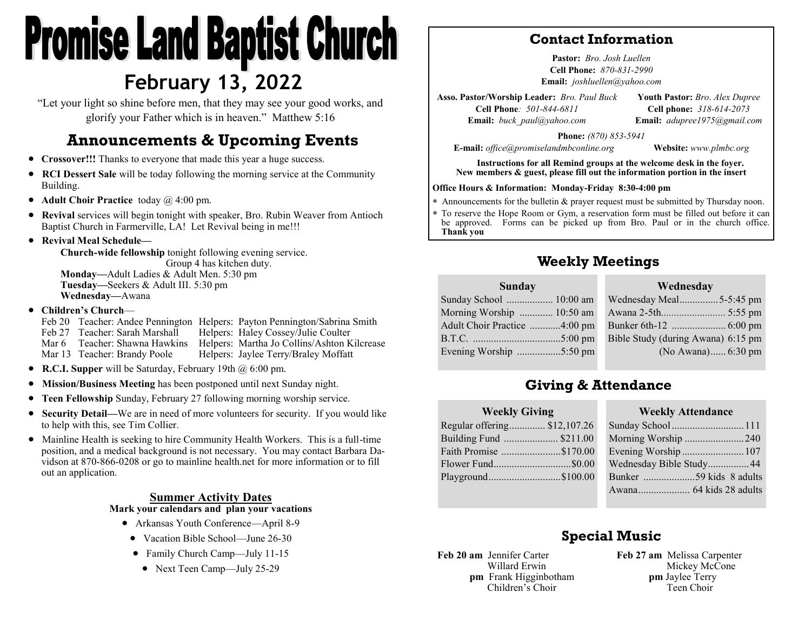# **Promise Land Baptist Church February 13, 2022**

"Let your light so shine before men, that they may see your good works, and glorify your Father which is in heaven." Matthew 5:16

# **Announcements & Upcoming Events**

- **Crossover!!!** Thanks to everyone that made this year a huge success.
- **RCI Dessert Sale** will be today following the morning service at the Community Building.
- **Adult Choir Practice** today @ 4:00 pm.
- **Revival** services will begin tonight with speaker, Bro. Rubin Weaver from Antioch Baptist Church in Farmerville, LA! Let Revival being in me!!!
- **Revival Meal Schedule—**

**Church-wide fellowship** tonight following evening service. Group 4 has kitchen duty. **Monday—**Adult Ladies & Adult Men. 5:30 pm **Tuesday—**Seekers & Adult III. 5:30 pm **Wednesday—**Awana

• **Children's Church**—

Feb 20 Teacher: Andee Pennington Helpers: Payton Pennington/Sabrina Smith Feb 27 Teacher: Sarah Marshall Helpers: Haley Cossey/Julie Coulter Mar 6 Teacher: Shawna Hawkins Helpers: Martha Jo Collins/Ashton Kilcrease Mar 13 Teacher: Brandy Poole Helpers: Jaylee Terry/Braley Moffatt

- **R.C.I. Supper** will be Saturday, February 19th @ 6:00 pm.
- **Mission/Business Meeting** has been postponed until next Sunday night.
- **Teen Fellowship** Sunday, February 27 following morning worship service.
- **Security Detail—**We are in need of more volunteers for security. If you would like to help with this, see Tim Collier.
- Mainline Health is seeking to hire Community Health Workers. This is a full-time position, and a medical background is not necessary. You may contact Barbara Davidson at 870-866-0208 or go to mainline health.net for more information or to fill out an application.

#### **Summer Activity Dates Mark your calendars and plan your vacations**

- Arkansas Youth Conference—April 8-9
- Vacation Bible School—June 26-30
- Family Church Camp—July 11-15
	- Next Teen Camp—July 25-29

#### **Contact Information**

**Pastor:** *Bro. Josh Luellen* **Cell Phone:** *870-831-2990* **Email:** *joshluellen@yahoo.com* 

**Asso. Pastor/Worship Leader:** *Bro. Paul Buck* **Cell Phone***: 501-844-6811* **Email:** *buck\_paul@yahoo.com* **Youth Pastor:** *Bro*. *Alex Dupree* **Cell phone:** *318-614-2073* **Email:** *adupree1975@gmail.com*

**Phone:** *(870) 853-5941*

**E-mail:** *office@promiselandmbconline.org* **Website:** *www.plmbc.org*

**Instructions for all Remind groups at the welcome desk in the foyer. New members & guest, please fill out the information portion in the insert**

#### **Office Hours & Information: Monday-Friday 8:30-4:00 pm**

Announcements for the bulletin & prayer request must be submitted by Thursday noon.

 To reserve the Hope Room or Gym, a reservation form must be filled out before it can be approved. Forms can be picked up from Bro. Paul or in the church office. **Thank you**

## **Weekly Meetings**

#### **Wednesday**

| Sunday School  10:00 am      |
|------------------------------|
| Morning Worship  10:50 am    |
| Adult Choir Practice 4:00 pm |
|                              |
| Evening Worship 5:50 pm      |
|                              |

**Sunday**

| Wednesday Meal5-5:45 pm            |  |
|------------------------------------|--|
|                                    |  |
|                                    |  |
| Bible Study (during Awana) 6:15 pm |  |
| (No Awana) 6:30 pm                 |  |
|                                    |  |

## **Giving & Attendance**

| <b>Weekly Giving</b>         |  |
|------------------------------|--|
| Regular offering \$12,107.26 |  |
| Building Fund  \$211.00      |  |
| Faith Promise \$170.00       |  |
|                              |  |
| Playground\$100.00           |  |
|                              |  |

#### **Weekly Attendance**

| $\mathbf{v}$ v can $\mathbf{v}$ and $\mathbf{v}$ |  |
|--------------------------------------------------|--|
| Sunday School  111                               |  |
| Morning Worship 240                              |  |
| Evening Worship 107                              |  |
| Wednesday Bible Study 44                         |  |
|                                                  |  |
|                                                  |  |
|                                                  |  |

# **Special Music**

**Feb 20 am** Jennifer Carter Willard Erwin **pm** Frank Higginbotham Children's Choir

**Feb 27 am** Melissa Carpenter Mickey McCone **pm** Jaylee Terry Teen Choir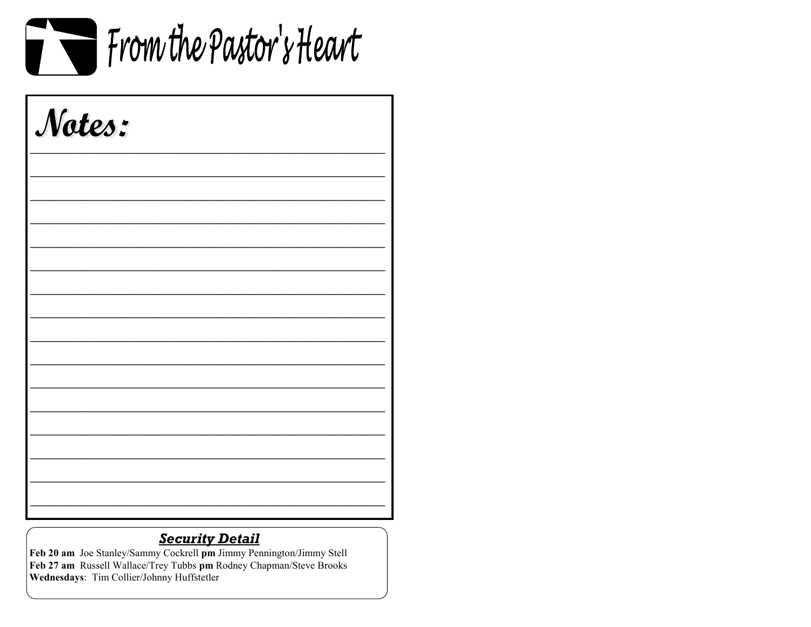

| Notes: |  |  |
|--------|--|--|
|        |  |  |
|        |  |  |
|        |  |  |
|        |  |  |
|        |  |  |
|        |  |  |
|        |  |  |
|        |  |  |
|        |  |  |

### **Security Detail**

Feb 20 am Joe Stanley/Sammy Cockrell pm Jimmy Pennington/Jimmy Stell Feb 27 am Russell Wallace/Trey Tubbs pm Rodney Chapman/Steve Brooks Wednesdays: Tim Collier/Johnny Huffstetler